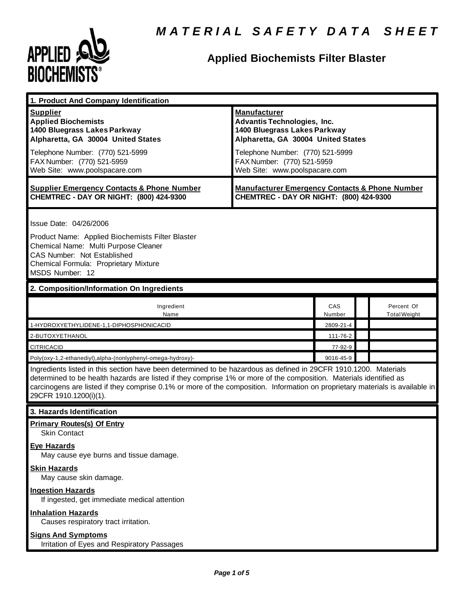

## **Applied Biochemists Filter Blaster**

| 1. Product And Company Identification                                                                                                                                                                                                                                                                                                                                                             |                                                                                                                                                                                                                                    |               |  |                                   |  |
|---------------------------------------------------------------------------------------------------------------------------------------------------------------------------------------------------------------------------------------------------------------------------------------------------------------------------------------------------------------------------------------------------|------------------------------------------------------------------------------------------------------------------------------------------------------------------------------------------------------------------------------------|---------------|--|-----------------------------------|--|
| <b>Supplier</b><br><b>Applied Biochemists</b><br>1400 Bluegrass Lakes Parkway<br>Alpharetta, GA 30004 United States<br>Telephone Number: (770) 521-5999<br>FAX Number: (770) 521-5959<br>Web Site: www.poolspacare.com                                                                                                                                                                            | <b>Manufacturer</b><br><b>Advantis Technologies, Inc.</b><br>1400 Bluegrass Lakes Parkway<br>Alpharetta, GA 30004 United States<br>Telephone Number: (770) 521-5999<br>FAX Number: (770) 521-5959<br>Web Site: www.poolspacare.com |               |  |                                   |  |
| <b>Supplier Emergency Contacts &amp; Phone Number</b><br>CHEMTREC - DAY OR NIGHT: (800) 424-9300                                                                                                                                                                                                                                                                                                  | <b>Manufacturer Emergency Contacts &amp; Phone Number</b><br>CHEMTREC - DAY OR NIGHT: (800) 424-9300                                                                                                                               |               |  |                                   |  |
| Issue Date: 04/26/2006<br>Product Name: Applied Biochemists Filter Blaster<br>Chemical Name: Multi Purpose Cleaner<br>CAS Number: Not Established<br>Chemical Formula: Proprietary Mixture<br>MSDS Number: 12                                                                                                                                                                                     |                                                                                                                                                                                                                                    |               |  |                                   |  |
| 2. Composition/Information On Ingredients                                                                                                                                                                                                                                                                                                                                                         |                                                                                                                                                                                                                                    |               |  |                                   |  |
| Ingredient<br>Name                                                                                                                                                                                                                                                                                                                                                                                |                                                                                                                                                                                                                                    | CAS<br>Number |  | Percent Of<br><b>Total Weight</b> |  |
| 1-HYDROXYETHYLIDENE-1,1-DIPHOSPHONICACID                                                                                                                                                                                                                                                                                                                                                          |                                                                                                                                                                                                                                    | 2809-21-4     |  |                                   |  |
| 2-BUTOXYETHANOL                                                                                                                                                                                                                                                                                                                                                                                   |                                                                                                                                                                                                                                    | 111-76-2      |  |                                   |  |
| <b>CITRICACID</b>                                                                                                                                                                                                                                                                                                                                                                                 |                                                                                                                                                                                                                                    | 77-92-9       |  |                                   |  |
| Poly(oxy-1,2-ethanediyl),alpha-(nonlyphenyl-omega-hydroxy)-                                                                                                                                                                                                                                                                                                                                       |                                                                                                                                                                                                                                    | 9016-45-9     |  |                                   |  |
| Ingredients listed in this section have been determined to be hazardous as defined in 29CFR 1910.1200. Materials<br>determined to be health hazards are listed if they comprise 1% or more of the composition. Materials identified as<br>carcinogens are listed if they comprise 0.1% or more of the composition. Information on proprietary materials is available in<br>29CFR 1910.1200(i)(1). |                                                                                                                                                                                                                                    |               |  |                                   |  |
| 3. Hazards Identification                                                                                                                                                                                                                                                                                                                                                                         |                                                                                                                                                                                                                                    |               |  |                                   |  |
| <b>Primary Routes(s) Of Entry</b><br><b>Skin Contact</b><br><b>Eye Hazards</b>                                                                                                                                                                                                                                                                                                                    |                                                                                                                                                                                                                                    |               |  |                                   |  |
| May cause eye burns and tissue damage.<br><b>Skin Hazards</b><br>May cause skin damage.                                                                                                                                                                                                                                                                                                           |                                                                                                                                                                                                                                    |               |  |                                   |  |
| <b>Ingestion Hazards</b><br>If ingested, get immediate medical attention                                                                                                                                                                                                                                                                                                                          |                                                                                                                                                                                                                                    |               |  |                                   |  |
| <b>Inhalation Hazards</b><br>Causes respiratory tract irritation.                                                                                                                                                                                                                                                                                                                                 |                                                                                                                                                                                                                                    |               |  |                                   |  |
| <b>Signs And Symptoms</b><br>Irritation of Eyes and Respiratory Passages                                                                                                                                                                                                                                                                                                                          |                                                                                                                                                                                                                                    |               |  |                                   |  |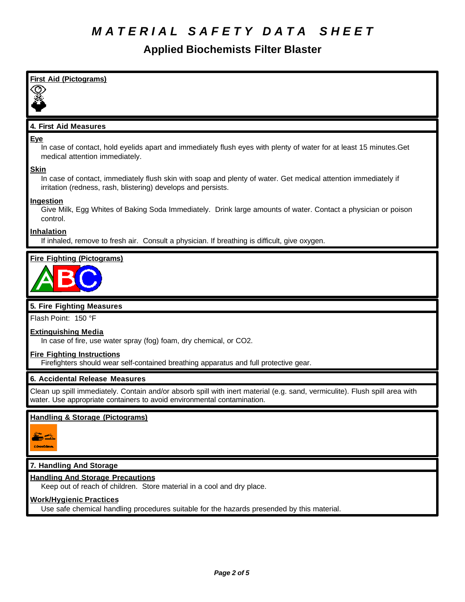### **Applied Biochemists Filter Blaster**

| <b>First Aid (Pictograms)</b>                                                                                                                                                                          |
|--------------------------------------------------------------------------------------------------------------------------------------------------------------------------------------------------------|
|                                                                                                                                                                                                        |
| 4. First Aid Measures                                                                                                                                                                                  |
| <b>Eye</b><br>In case of contact, hold eyelids apart and immediately flush eyes with plenty of water for at least 15 minutes. Get<br>medical attention immediately.                                    |
| <b>Skin</b><br>In case of contact, immediately flush skin with soap and plenty of water. Get medical attention immediately if<br>irritation (redness, rash, blistering) develops and persists.         |
| Ingestion<br>Give Milk, Egg Whites of Baking Soda Immediately. Drink large amounts of water. Contact a physician or poison<br>control.                                                                 |
| <b>Inhalation</b><br>If inhaled, remove to fresh air. Consult a physician. If breathing is difficult, give oxygen.                                                                                     |
| <b>Fire Fighting (Pictograms)</b>                                                                                                                                                                      |
|                                                                                                                                                                                                        |
| 5. Fire Fighting Measures                                                                                                                                                                              |
| Flash Point: 150 °F                                                                                                                                                                                    |
| <b>Extinguishing Media</b><br>In case of fire, use water spray (fog) foam, dry chemical, or CO2.                                                                                                       |
| <b>Fire Fighting Instructions</b><br>Firefighters should wear self-contained breathing apparatus and full protective gear.                                                                             |
| 6. Accidental Release Measures                                                                                                                                                                         |
| Clean up spill immediately. Contain and/or absorb spill with inert material (e.g. sand, vermiculite). Flush spill area with<br>water. Use appropriate containers to avoid environmental contamination. |
| <b>Handling &amp; Storage (Pictograms)</b>                                                                                                                                                             |
| : Denversion                                                                                                                                                                                           |
| 7. Handling And Storage                                                                                                                                                                                |
| <b>Handling And Storage Precautions</b><br>Keep out of reach of children. Store material in a cool and dry place.                                                                                      |

Use safe chemical handling procedures suitable for the hazards presended by this material.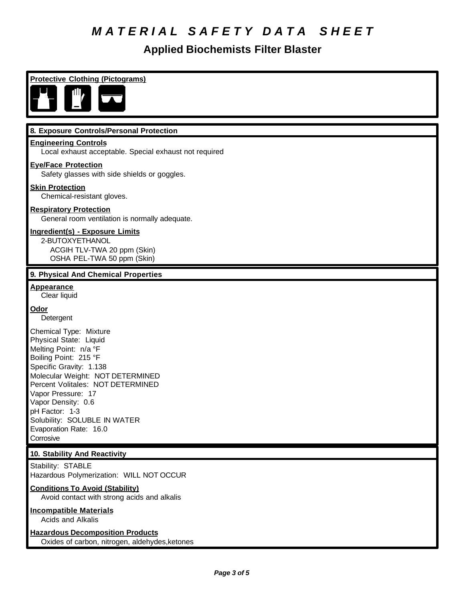### **Applied Biochemists Filter Blaster**

| <b>Protective Clothing (Pictograms)</b>                                                                                                                                                                                                                                                                                                     |
|---------------------------------------------------------------------------------------------------------------------------------------------------------------------------------------------------------------------------------------------------------------------------------------------------------------------------------------------|
|                                                                                                                                                                                                                                                                                                                                             |
| 8. Exposure Controls/Personal Protection                                                                                                                                                                                                                                                                                                    |
| <b>Engineering Controls</b><br>Local exhaust acceptable. Special exhaust not required                                                                                                                                                                                                                                                       |
| <b>Eye/Face Protection</b><br>Safety glasses with side shields or goggles.                                                                                                                                                                                                                                                                  |
| <b>Skin Protection</b><br>Chemical-resistant gloves.                                                                                                                                                                                                                                                                                        |
| <b>Respiratory Protection</b><br>General room ventilation is normally adequate.                                                                                                                                                                                                                                                             |
| <b>Ingredient(s) - Exposure Limits</b><br>2-BUTOXYETHANOL<br>ACGIH TLV-TWA 20 ppm (Skin)<br>OSHA PEL-TWA 50 ppm (Skin)                                                                                                                                                                                                                      |
| 9. Physical And Chemical Properties                                                                                                                                                                                                                                                                                                         |
| <b>Appearance</b><br>Clear liquid                                                                                                                                                                                                                                                                                                           |
| Odor<br>Detergent                                                                                                                                                                                                                                                                                                                           |
| Chemical Type: Mixture<br>Physical State: Liquid<br>Melting Point: n/a °F<br>Boiling Point: 215 °F<br>Specific Gravity: 1.138<br>Molecular Weight: NOT DETERMINED<br>Percent Volitales: NOT DETERMINED<br>Vapor Pressure: 17<br>Vapor Density: 0.6<br>pH Factor: 1-3<br>Solubility: SOLUBLE IN WATER<br>Evaporation Rate: 16.0<br>Corrosive |
| 10. Stability And Reactivity                                                                                                                                                                                                                                                                                                                |
| Stability: STABLE<br>Hazardous Polymerization: WILL NOT OCCUR                                                                                                                                                                                                                                                                               |
| <b>Conditions To Avoid (Stability)</b><br>Avoid contact with strong acids and alkalis                                                                                                                                                                                                                                                       |
| <b>Incompatible Materials</b><br>Acids and Alkalis                                                                                                                                                                                                                                                                                          |
| <b>Hazardous Decomposition Products</b>                                                                                                                                                                                                                                                                                                     |

Oxides of carbon, nitrogen, aldehydes,ketones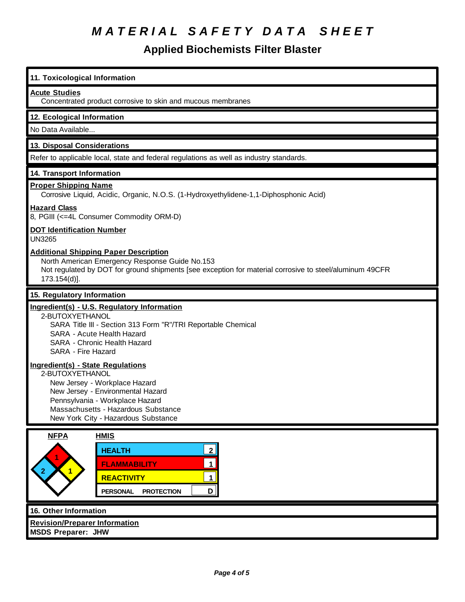### **Applied Biochemists Filter Blaster**

### **11. Toxicological Information Acute Studies** Concentrated product corrosive to skin and mucous membranes **12. Ecological Information** No Data Available... **13. Disposal Considerations** Refer to applicable local, state and federal regulations as well as industry standards. **14. Transport Information Proper Shipping Name** Corrosive Liquid, Acidic, Organic, N.O.S. (1-Hydroxyethylidene-1,1-Diphosphonic Acid) **Hazard Class** 8, PGIII (<=4L Consumer Commodity ORM-D) **DOT Identification Number** UN3265 **Additional Shipping Paper Description** North American Emergency Response Guide No.153 Not regulated by DOT for ground shipments [see exception for material corrosive to steel/aluminum 49CFR 173.154(d)]. **15. Regulatory Information Ingredient(s) - U.S. Regulatory Information** 2-BUTOXYETHANOL SARA Title III - Section 313 Form "R"/TRI Reportable Chemical SARA - Acute Health Hazard SARA - Chronic Health Hazard SARA - Fire Hazard **Ingredient(s) - State Regulations** 2-BUTOXYETHANOL New Jersey - Workplace Hazard New Jersey - Environmental Hazard Pennsylvania - Workplace Hazard Massachusetts - Hazardous Substance New York City - Hazardous Substance **NFPA HMIS 2 1 1 HEALTH 2 FLAMMABILITY 1 REACTIVITY 1 PERSONAL PROTECTION D**

#### **16. Other Information**

**Revision/Preparer Information**

**MSDS Preparer: JHW**